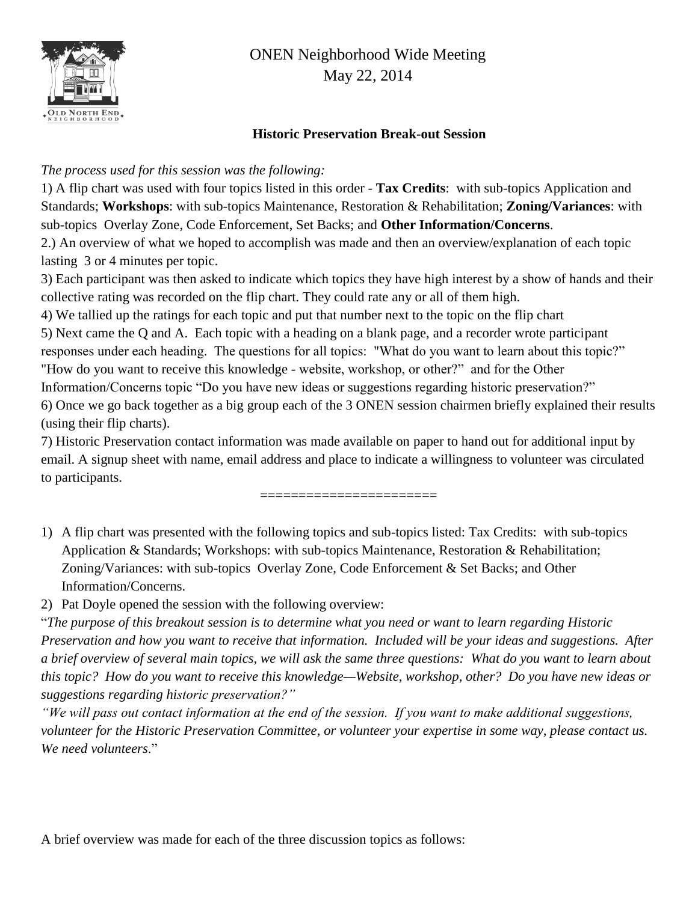

### **Historic Preservation Break-out Session**

### *The process used for this session was the following:*

1) A flip chart was used with four topics listed in this order - **Tax Credits**: with sub-topics Application and Standards; **Workshops**: with sub-topics Maintenance, Restoration & Rehabilitation; **Zoning/Variances**: with sub-topics Overlay Zone, Code Enforcement, Set Backs; and **Other Information/Concerns**. 2.) An overview of what we hoped to accomplish was made and then an overview/explanation of each topic lasting 3 or 4 minutes per topic.

3) Each participant was then asked to indicate which topics they have high interest by a show of hands and their collective rating was recorded on the flip chart. They could rate any or all of them high.

4) We tallied up the ratings for each topic and put that number next to the topic on the flip chart

5) Next came the Q and A. Each topic with a heading on a blank page, and a recorder wrote participant responses under each heading. The questions for all topics: "What do you want to learn about this topic?" "How do you want to receive this knowledge - website, workshop, or other?" and for the Other Information/Concerns topic "Do you have new ideas or suggestions regarding historic preservation?" 6) Once we go back together as a big group each of the 3 ONEN session chairmen briefly explained their results (using their flip charts).

7) Historic Preservation contact information was made available on paper to hand out for additional input by email. A signup sheet with name, email address and place to indicate a willingness to volunteer was circulated to participants.

===========================

1) A flip chart was presented with the following topics and sub-topics listed: Tax Credits: with sub-topics Application & Standards; Workshops: with sub-topics Maintenance, Restoration & Rehabilitation; Zoning/Variances: with sub-topics Overlay Zone, Code Enforcement & Set Backs; and Other Information/Concerns.

2) Pat Doyle opened the session with the following overview:

"*The purpose of this breakout session is to determine what you need or want to learn regarding Historic Preservation and how you want to receive that information. Included will be your ideas and suggestions. After a brief overview of several main topics, we will ask the same three questions: What do you want to learn about this topic? How do you want to receive this knowledge—Website, workshop, other? Do you have new ideas or suggestions regarding historic preservation?"*

*"We will pass out contact information at the end of the session. If you want to make additional suggestions, volunteer for the Historic Preservation Committee, or volunteer your expertise in some way, please contact us. We need volunteers*."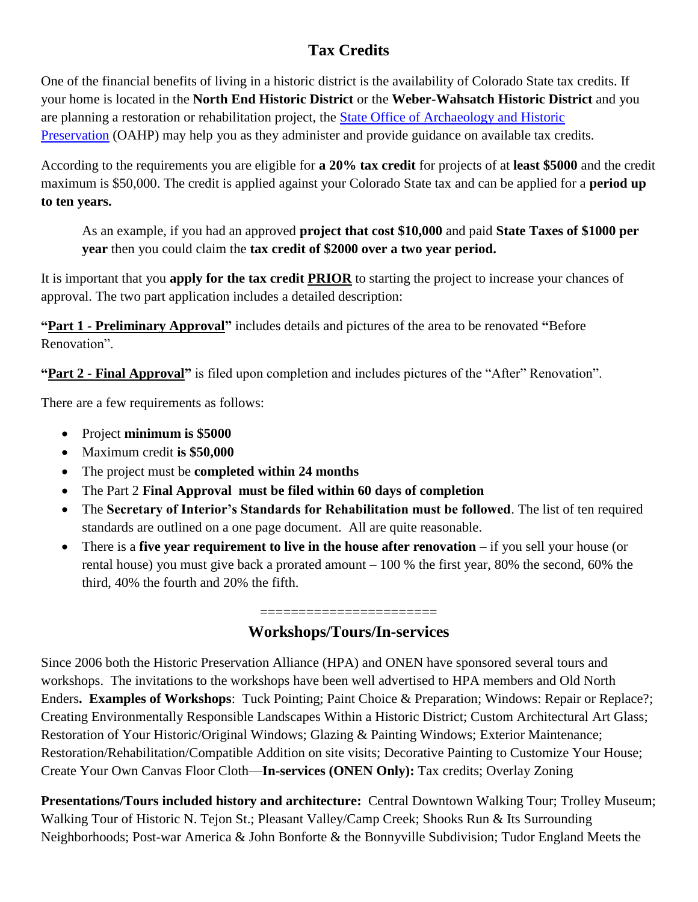## **Tax Credits**

One of the financial benefits of living in a historic district is the availability of Colorado State tax credits. If your home is located in the **North End Historic District** or the **Weber-Wahsatch Historic District** and you are planning a restoration or rehabilitation project, the **State Office of Archaeology and Historic** [Preservation](http://www.historycolorado.org/oahp) (OAHP) may help you as they administer and provide guidance on available tax credits.

According to the requirements you are eligible for **a 20% tax credit** for projects of at **least \$5000** and the credit maximum is \$50,000. The credit is applied against your Colorado State tax and can be applied for a **period up to ten years.** 

As an example, if you had an approved **project that cost \$10,000** and paid **State Taxes of \$1000 per year** then you could claim the **tax credit of \$2000 over a two year period.**

It is important that you **apply for the tax credit PRIOR** to starting the project to increase your chances of approval. The two part application includes a detailed description:

**"Part 1 - Preliminary Approval"** includes details and pictures of the area to be renovated **"**Before Renovation".

**"Part 2 - Final Approval"** is filed upon completion and includes pictures of the "After" Renovation".

There are a few requirements as follows:

- Project **minimum is \$5000**
- Maximum credit **is \$50,000**
- The project must be **completed within 24 months**
- The Part 2 **Final Approval must be filed within 60 days of completion**
- The **Secretary of Interior's Standards for Rehabilitation must be followed**. The list of ten required standards are outlined on a one page document. All are quite reasonable.
- There is a **five year requirement to live in the house after renovation** if you sell your house (or rental house) you must give back a prorated amount – 100 % the first year, 80% the second, 60% the third, 40% the fourth and 20% the fifth.

### ======================= **Workshops/Tours/In-services**

Since 2006 both the Historic Preservation Alliance (HPA) and ONEN have sponsored several tours and workshops. The invitations to the workshops have been well advertised to HPA members and Old North Enders**. Examples of Workshops**: Tuck Pointing; Paint Choice & Preparation; Windows: Repair or Replace?; Creating Environmentally Responsible Landscapes Within a Historic District; Custom Architectural Art Glass; Restoration of Your Historic/Original Windows; Glazing & Painting Windows; Exterior Maintenance; Restoration/Rehabilitation/Compatible Addition on site visits; Decorative Painting to Customize Your House; Create Your Own Canvas Floor Cloth—**In-services (ONEN Only):** Tax credits; Overlay Zoning

**Presentations/Tours included history and architecture:** Central Downtown Walking Tour; Trolley Museum; Walking Tour of Historic N. Tejon St.; Pleasant Valley/Camp Creek; Shooks Run & Its Surrounding Neighborhoods; Post-war America & John Bonforte & the Bonnyville Subdivision; Tudor England Meets the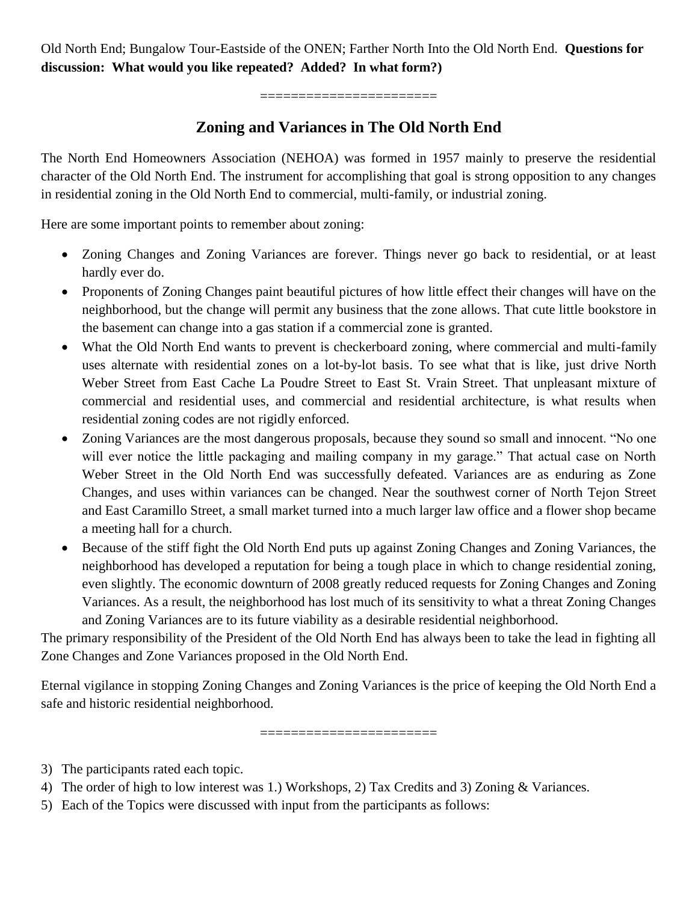Old North End; Bungalow Tour-Eastside of the ONEN; Farther North Into the Old North End. **Questions for discussion: What would you like repeated? Added? In what form?)**

=======================

## **Zoning and Variances in The Old North End**

The North End Homeowners Association (NEHOA) was formed in 1957 mainly to preserve the residential character of the Old North End. The instrument for accomplishing that goal is strong opposition to any changes in residential zoning in the Old North End to commercial, multi-family, or industrial zoning.

Here are some important points to remember about zoning:

- Zoning Changes and Zoning Variances are forever. Things never go back to residential, or at least hardly ever do.
- Proponents of Zoning Changes paint beautiful pictures of how little effect their changes will have on the neighborhood, but the change will permit any business that the zone allows. That cute little bookstore in the basement can change into a gas station if a commercial zone is granted.
- What the Old North End wants to prevent is checkerboard zoning, where commercial and multi-family uses alternate with residential zones on a lot-by-lot basis. To see what that is like, just drive North Weber Street from East Cache La Poudre Street to East St. Vrain Street. That unpleasant mixture of commercial and residential uses, and commercial and residential architecture, is what results when residential zoning codes are not rigidly enforced.
- Zoning Variances are the most dangerous proposals, because they sound so small and innocent. "No one will ever notice the little packaging and mailing company in my garage." That actual case on North Weber Street in the Old North End was successfully defeated. Variances are as enduring as Zone Changes, and uses within variances can be changed. Near the southwest corner of North Tejon Street and East Caramillo Street, a small market turned into a much larger law office and a flower shop became a meeting hall for a church.
- Because of the stiff fight the Old North End puts up against Zoning Changes and Zoning Variances, the neighborhood has developed a reputation for being a tough place in which to change residential zoning, even slightly. The economic downturn of 2008 greatly reduced requests for Zoning Changes and Zoning Variances. As a result, the neighborhood has lost much of its sensitivity to what a threat Zoning Changes and Zoning Variances are to its future viability as a desirable residential neighborhood.

The primary responsibility of the President of the Old North End has always been to take the lead in fighting all Zone Changes and Zone Variances proposed in the Old North End.

Eternal vigilance in stopping Zoning Changes and Zoning Variances is the price of keeping the Old North End a safe and historic residential neighborhood.

 $-0.1$ 

- 3) The participants rated each topic.
- 4) The order of high to low interest was 1.) Workshops, 2) Tax Credits and 3) Zoning & Variances.
- 5) Each of the Topics were discussed with input from the participants as follows: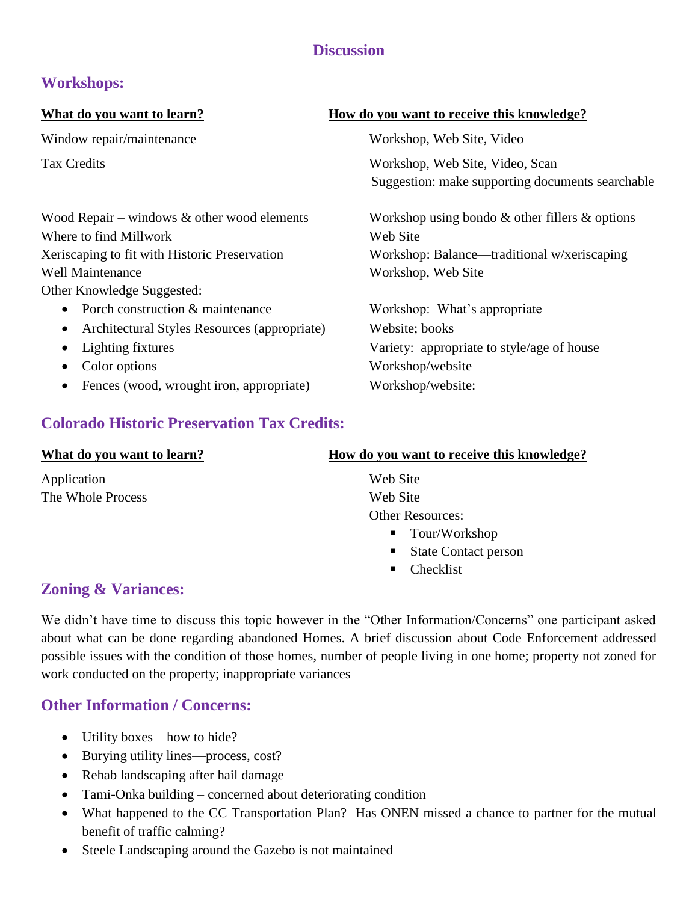### **Discussion**

## **Workshops:**

Window repair/maintenance Workshop, Web Site, Video

# Wood Repair – windows & other wood elements Workshop using bondo & other fillers & options Where to find Millwork Web Site Xeriscaping to fit with Historic Preservation Workshop: Balance—traditional w/xeriscaping Well Maintenance **Workshop**, Web Site Other Knowledge Suggested: • Porch construction & maintenance Workshop: What's appropriate • Architectural Styles Resources (appropriate) Website; books • Lighting fixtures Variety: appropriate to style/age of house • Color options Workshop/website • Fences (wood, wrought iron, appropriate) Workshop/website:

## **Colorado Historic Preservation Tax Credits:**

| What do you want to learn? | How do you want to receive this knowledge?    |
|----------------------------|-----------------------------------------------|
| Application                | Web Site                                      |
| The Whole Process          | Web Site                                      |
|                            | <b>Other Resources:</b>                       |
|                            | ■ Tour/Workshop                               |
|                            | <b>State Contact person</b><br>$\blacksquare$ |
|                            | Checklist                                     |

## **Zoning & Variances:**

We didn't have time to discuss this topic however in the "Other Information/Concerns" one participant asked about what can be done regarding abandoned Homes. A brief discussion about Code Enforcement addressed possible issues with the condition of those homes, number of people living in one home; property not zoned for work conducted on the property; inappropriate variances

## **Other Information / Concerns:**

- $\bullet$  Utility boxes how to hide?
- Burying utility lines—process, cost?
- Rehab landscaping after hail damage
- Tami-Onka building concerned about deteriorating condition
- What happened to the CC Transportation Plan? Has ONEN missed a chance to partner for the mutual benefit of traffic calming?
- Steele Landscaping around the Gazebo is not maintained

### **What do you want to learn? How do you want to receive this knowledge?**

Tax Credits Workshop, Web Site, Video, Scan Suggestion: make supporting documents searchable